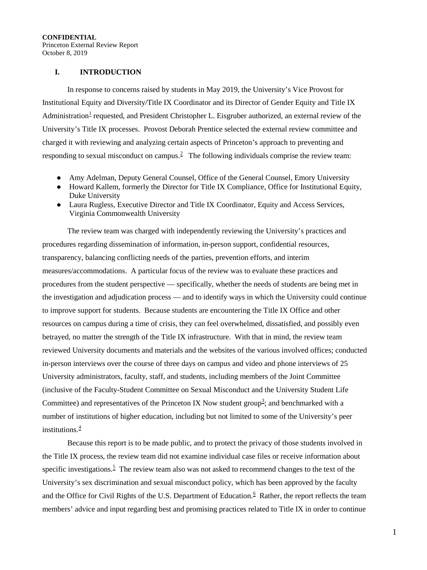Princeton External Review Report October 8, 2019

# **I. INTRODUCTION**

In response to concerns raised by students in May 2019, the University's Vice Provost for Institutional Equity and Diversity/Title IX Coordinator and its Director of Gender Equity and Title IX Administration<sup>[1](#page-26-0)</sup> requested, and President Christopher L. Eisgruber authorized, an external review of the University's Title IX processes. Provost Deborah Prentice selected the external review committee and charged it with reviewing and analyzing certain aspects of Princeton's approach to preventing and responding to sexual misconduct on campus.<sup>[2](#page-26-1)</sup> The following individuals comprise the review team:

- Amy Adelman, Deputy General Counsel, Office of the General Counsel, Emory University
- Howard Kallem, formerly the Director for Title IX Compliance, Office for Institutional Equity, Duke University
- Laura Rugless, Executive Director and Title IX Coordinator, Equity and Access Services, Virginia Commonwealth University

The review team was charged with independently reviewing the University's practices and procedures regarding dissemination of information, in-person support, confidential resources, transparency, balancing conflicting needs of the parties, prevention efforts, and interim measures/accommodations. A particular focus of the review was to evaluate these practices and procedures from the student perspective — specifically, whether the needs of students are being met in the investigation and adjudication process — and to identify ways in which the University could continue to improve support for students. Because students are encountering the Title IX Office and other resources on campus during a time of crisis, they can feel overwhelmed, dissatisfied, and possibly even betrayed, no matter the strength of the Title IX infrastructure. With that in mind, the review team reviewed University documents and materials and the websites of the various involved offices; conducted in-person interviews over the course of three days on campus and video and phone interviews of 25 University administrators, faculty, staff, and students, including members of the Joint Committee (inclusive of the Faculty-Student Committee on Sexual Misconduct and the University Student Life Committee) and representatives of the Princeton IX Now student group<sup>[3](#page-26-2)</sup>; and benchmarked with a number of institutions of higher education, including but not limited to some of the University's peer institutions.[4](#page-26-3)

Because this report is to be made public, and to protect the privacy of those students involved in the Title IX process, the review team did not examine individual case files or receive information about specific investigations.<sup>[5](#page-26-4)</sup> The review team also was not asked to recommend changes to the text of the University's sex discrimination and sexual misconduct policy, which has been approved by the faculty and the Office for Civil Rights of the U.S. Department of Education.<sup>[6](#page-26-5)</sup> Rather, the report reflects the team members' advice and input regarding best and promising practices related to Title IX in order to continue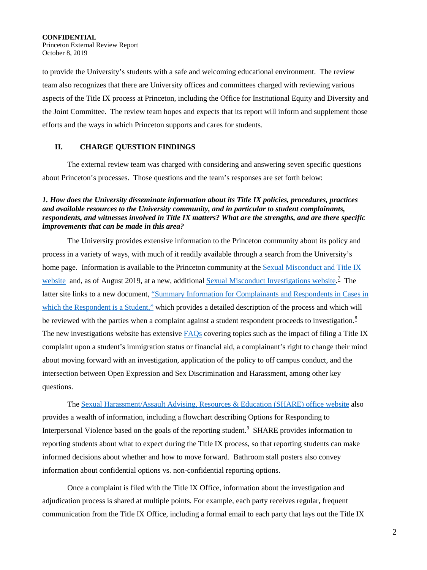**CONFIDENTIAL**  Princeton External Review Report October 8, 2019

to provide the University's students with a safe and welcoming educational environment. The review team also recognizes that there are University offices and committees charged with reviewing various aspects of the Title IX process at Princeton, including the Office for Institutional Equity and Diversity and the Joint Committee. The review team hopes and expects that its report will inform and supplement those efforts and the ways in which Princeton supports and cares for students.

### **II. CHARGE QUESTION FINDINGS**

The external review team was charged with considering and answering seven specific questions about Princeton's processes. Those questions and the team's responses are set forth below:

# *1. How does the University disseminate information about its Title IX policies, procedures, practices and available resources to the University community, and in particular to student complainants, respondents, and witnesses involved in Title IX matters? What are the strengths, and are there specific improvements that can be made in this area?*

The University provides extensive information to the Princeton community about its policy and process in a variety of ways, with much of it readily available through a search from the University's home page. Information is available to the Princeton community at th[e Sexual Misconduct and Title IX](https://sexualmisconduct.princeton.edu/) [website](https://sexualmisconduct.princeton.edu/) and, as of August 2019, at a new, additional **Sexual Misconduct Investigations website**.<sup>[7](#page-27-0)</sup> The latter site links to a new document, ["Summary Information for Complainants and Respondents in Cases in](https://sexualmisconductinvestigations.princeton.edu/sites/smi/files/media/summary_information_for_complainants_and_respondents_in_student_respondent_cases_8-15.pdf)  [which the Respondent is a Student,"](https://sexualmisconductinvestigations.princeton.edu/sites/smi/files/media/summary_information_for_complainants_and_respondents_in_student_respondent_cases_8-15.pdf) which provides a detailed description of the process and which will be reviewed with the parties when a complaint against a student respondent proceeds to investigation.<sup>[8](#page-27-1)</sup> The new investigations website has extensive [FAQs](https://sexualmisconductinvestigations.princeton.edu/faqs) covering topics such as the impact of filing a Title IX complaint upon a student's immigration status or financial aid, a complainant's right to change their mind about moving forward with an investigation, application of the policy to off campus conduct, and the intersection between Open Expression and Sex Discrimination and Harassment, among other key questions.

The [Sexual Harassment/Assault Advising, Resources & Education \(SHARE\) office website](https://share.princeton.edu/) also provides a wealth of information, including a flowchart describing Options for Responding to Interpersonal Violence based on the goals of the reporting student.<sup>[9](#page-27-2)</sup> SHARE provides information to reporting students about what to expect during the Title IX process, so that reporting students can make informed decisions about whether and how to move forward. Bathroom stall posters also convey information about confidential options vs. non-confidential reporting options.

Once a complaint is filed with the Title IX Office, information about the investigation and adjudication process is shared at multiple points. For example, each party receives regular, frequent communication from the Title IX Office, including a formal email to each party that lays out the Title IX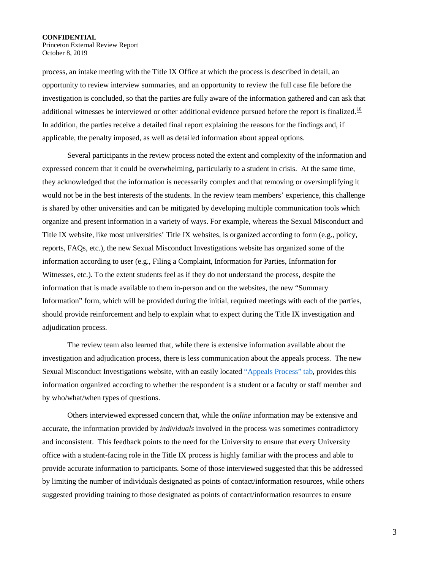Princeton External Review Report October 8, 2019

process, an intake meeting with the Title IX Office at which the process is described in detail, an opportunity to review interview summaries, and an opportunity to review the full case file before the investigation is concluded, so that the parties are fully aware of the information gathered and can ask that additional witnesses be interviewed or other additional evidence pursued before the report is finalized.<sup>[10](#page-28-0)</sup> In addition, the parties receive a detailed final report explaining the reasons for the findings and, if applicable, the penalty imposed, as well as detailed information about appeal options.

Several participants in the review process noted the extent and complexity of the information and expressed concern that it could be overwhelming, particularly to a student in crisis. At the same time, they acknowledged that the information is necessarily complex and that removing or oversimplifying it would not be in the best interests of the students. In the review team members' experience, this challenge is shared by other universities and can be mitigated by developing multiple communication tools which organize and present information in a variety of ways. For example, whereas the Sexual Misconduct and Title IX website, like most universities' Title IX websites, is organized according to form (e.g., policy, reports, FAQs, etc.), the new Sexual Misconduct Investigations website has organized some of the information according to user (e.g., Filing a Complaint, Information for Parties, Information for Witnesses, etc.). To the extent students feel as if they do not understand the process, despite the information that is made available to them in-person and on the websites, the new "Summary Information" form, which will be provided during the initial, required meetings with each of the parties, should provide reinforcement and help to explain what to expect during the Title IX investigation and adjudication process.

The review team also learned that, while there is extensive information available about the investigation and adjudication process, there is less communication about the appeals process. The new Sexual Misconduct Investigations website, with an easily located ["Appeals Process" tab,](https://sexualmisconductinvestigations.princeton.edu/information-parties/appeal-process) provides this information organized according to whether the respondent is a student or a faculty or staff member and by who/what/when types of questions.

Others interviewed expressed concern that, while the *online* information may be extensive and accurate, the information provided by *individuals* involved in the process was sometimes contradictory and inconsistent. This feedback points to the need for the University to ensure that every University office with a student-facing role in the Title IX process is highly familiar with the process and able to provide accurate information to participants. Some of those interviewed suggested that this be addressed by limiting the number of individuals designated as points of contact/information resources, while others suggested providing training to those designated as points of contact/information resources to ensure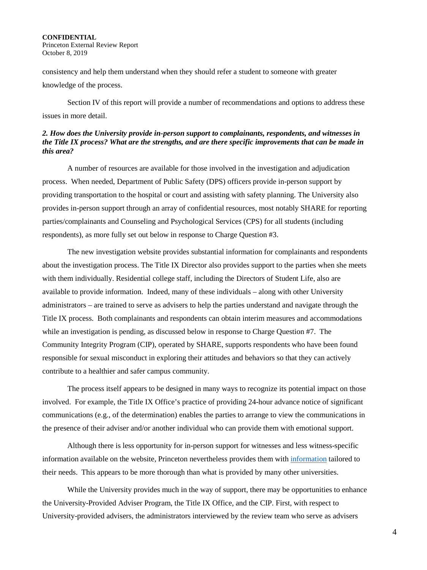**CONFIDENTIAL**  Princeton External Review Report October 8, 2019

consistency and help them understand when they should refer a student to someone with greater knowledge of the process.

Section IV of this report will provide a number of recommendations and options to address these issues in more detail.

### *2. How does the University provide in-person support to complainants, respondents, and witnesses in the Title IX process? What are the strengths, and are there specific improvements that can be made in this area?*

A number of resources are available for those involved in the investigation and adjudication process. When needed, Department of Public Safety (DPS) officers provide in-person support by providing transportation to the hospital or court and assisting with safety planning. The University also provides in-person support through an array of confidential resources, most notably SHARE for reporting parties/complainants and Counseling and Psychological Services (CPS) for all students (including respondents), as more fully set out below in response to Charge Question #3.

The new investigation website provides substantial information for complainants and respondents about the investigation process. The Title IX Director also provides support to the parties when she meets with them individually. Residential college staff, including the Directors of Student Life, also are available to provide information. Indeed, many of these individuals – along with other University administrators – are trained to serve as advisers to help the parties understand and navigate through the Title IX process. Both complainants and respondents can obtain interim measures and accommodations while an investigation is pending, as discussed below in response to Charge Question #7. The Community Integrity Program (CIP), operated by SHARE, supports respondents who have been found responsible for sexual misconduct in exploring their attitudes and behaviors so that they can actively contribute to a healthier and safer campus community.

The process itself appears to be designed in many ways to recognize its potential impact on those involved. For example, the Title IX Office's practice of providing 24-hour advance notice of significant communications (e.g., of the determination) enables the parties to arrange to view the communications in the presence of their adviser and/or another individual who can provide them with emotional support.

Although there is less opportunity for in-person support for witnesses and less witness-specific information available on the website, Princeton nevertheless provides them with [information](https://sexualmisconductinvestigations.princeton.edu/witnesses) tailored to their needs. This appears to be more thorough than what is provided by many other universities.

While the University provides much in the way of support, there may be opportunities to enhance the University-Provided Adviser Program, the Title IX Office, and the CIP. First, with respect to University-provided advisers, the administrators interviewed by the review team who serve as advisers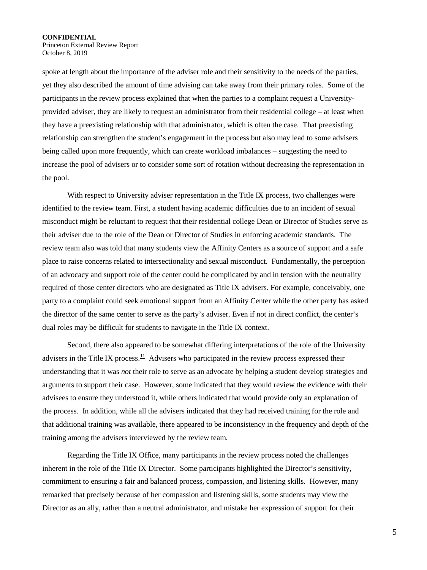Princeton External Review Report October 8, 2019

spoke at length about the importance of the adviser role and their sensitivity to the needs of the parties, yet they also described the amount of time advising can take away from their primary roles. Some of the participants in the review process explained that when the parties to a complaint request a Universityprovided adviser, they are likely to request an administrator from their residential college – at least when they have a preexisting relationship with that administrator, which is often the case. That preexisting relationship can strengthen the student's engagement in the process but also may lead to some advisers being called upon more frequently, which can create workload imbalances – suggesting the need to increase the pool of advisers or to consider some sort of rotation without decreasing the representation in the pool.

With respect to University adviser representation in the Title IX process, two challenges were identified to the review team. First, a student having academic difficulties due to an incident of sexual misconduct might be reluctant to request that their residential college Dean or Director of Studies serve as their adviser due to the role of the Dean or Director of Studies in enforcing academic standards. The review team also was told that many students view the Affinity Centers as a source of support and a safe place to raise concerns related to intersectionality and sexual misconduct. Fundamentally, the perception of an advocacy and support role of the center could be complicated by and in tension with the neutrality required of those center directors who are designated as Title IX advisers. For example, conceivably, one party to a complaint could seek emotional support from an Affinity Center while the other party has asked the director of the same center to serve as the party's adviser. Even if not in direct conflict, the center's dual roles may be difficult for students to navigate in the Title IX context.

Second, there also appeared to be somewhat differing interpretations of the role of the University advisers in the Title IX process.<sup>11</sup> Advisers who participated in the review process expressed their understanding that it was *not* their role to serve as an advocate by helping a student develop strategies and arguments to support their case. However, some indicated that they would review the evidence with their advisees to ensure they understood it, while others indicated that would provide only an explanation of the process. In addition, while all the advisers indicated that they had received training for the role and that additional training was available, there appeared to be inconsistency in the frequency and depth of the training among the advisers interviewed by the review team.

Regarding the Title IX Office, many participants in the review process noted the challenges inherent in the role of the Title IX Director. Some participants highlighted the Director's sensitivity, commitment to ensuring a fair and balanced process, compassion, and listening skills. However, many remarked that precisely because of her compassion and listening skills, some students may view the Director as an ally, rather than a neutral administrator, and mistake her expression of support for their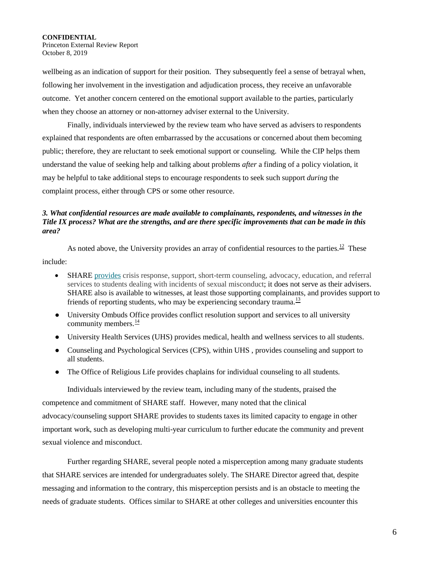Princeton External Review Report October 8, 2019

wellbeing as an indication of support for their position. They subsequently feel a sense of betrayal when, following her involvement in the investigation and adjudication process, they receive an unfavorable outcome. Yet another concern centered on the emotional support available to the parties, particularly when they choose an attorney or non-attorney adviser external to the University.

Finally, individuals interviewed by the review team who have served as advisers to respondents explained that respondents are often embarrassed by the accusations or concerned about them becoming public; therefore, they are reluctant to seek emotional support or counseling. While the CIP helps them understand the value of seeking help and talking about problems *after* a finding of a policy violation, it may be helpful to take additional steps to encourage respondents to seek such support *during* the complaint process, either through CPS or some other resource.

# *3. What confidential resources are made available to complainants, respondents, and witnesses in the Title IX process? What are the strengths, and are there specific improvements that can be made in this area?*

As noted above, the University provides an array of confidential resources to the parties.<sup>[12](#page-28-2)</sup> These include:

- SHARE [provides](https://share.princeton.edu/node/23) crisis response, support, short-term counseling, advocacy, education, and referral services to students dealing with incidents of sexual misconduct; it does not serve as their advisers. SHARE also is available to witnesses, at least those supporting complainants, and provides support to friends of reporting students, who may be experiencing secondary trauma.<sup>13</sup>
- University Ombuds Office provides conflict resolution support and services to all university community members.<sup>[14](#page-28-4)</sup>
- University Health Services (UHS) provides medical, health and wellness services to all students.
- Counseling and Psychological Services (CPS), within UHS , provides counseling and support to all students.
- The Office of Religious Life provides chaplains for individual counseling to all students.

Individuals interviewed by the review team, including many of the students, praised the competence and commitment of SHARE staff. However, many noted that the clinical advocacy/counseling support SHARE provides to students taxes its limited capacity to engage in other important work, such as developing multi-year curriculum to further educate the community and prevent sexual violence and misconduct.

Further regarding SHARE, several people noted a misperception among many graduate students that SHARE services are intended for undergraduates solely. The SHARE Director agreed that, despite messaging and information to the contrary, this misperception persists and is an obstacle to meeting the needs of graduate students. Offices similar to SHARE at other colleges and universities encounter this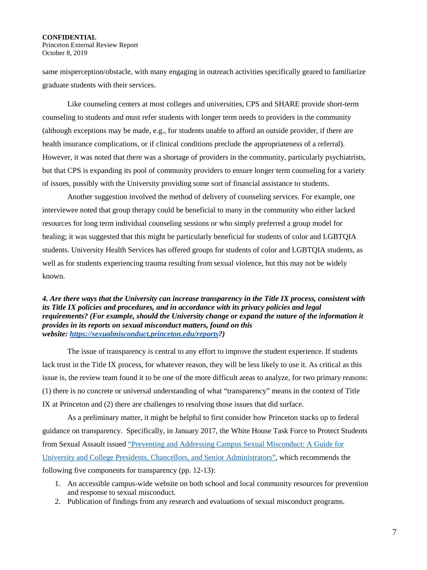Princeton External Review Report October 8, 2019

same misperception/obstacle, with many engaging in outreach activities specifically geared to familiarize graduate students with their services.

Like counseling centers at most colleges and universities, CPS and SHARE provide short-term counseling to students and must refer students with longer term needs to providers in the community (although exceptions may be made, e.g., for students unable to afford an outside provider, if there are health insurance complications, or if clinical conditions preclude the appropriateness of a referral). However, it was noted that there was a shortage of providers in the community, particularly psychiatrists, but that CPS is expanding its pool of community providers to ensure longer term counseling for a variety of issues, possibly with the University providing some sort of financial assistance to students.

Another suggestion involved the method of delivery of counseling services. For example, one interviewee noted that group therapy could be beneficial to many in the community who either lacked resources for long term individual counseling sessions or who simply preferred a group model for healing; it was suggested that this might be particularly beneficial for students of color and LGBTQIA students. University Health Services has offered groups for students of color and LGBTQIA students, as well as for students experiencing trauma resulting from sexual violence, but this may not be widely known.

*4. Are there ways that the University can increase transparency in the Title IX process, consistent with its Title IX policies and procedures, and in accordance with its privacy policies and legal requirements? (For example, should the University change or expand the nature of the information it provides in its reports on sexual misconduct matters, found on this website: [https://sexualmisconduct.princeton.edu/reports?](https://sexualmisconduct.princeton.edu/reports))* 

The issue of transparency is central to any effort to improve the student experience. If students lack trust in the Title IX process, for whatever reason, they will be less likely to use it. As critical as this issue is, the review team found it to be one of the more difficult areas to analyze, for two primary reasons: (1) there is no concrete or universal understanding of what "transparency" means in the context of Title IX at Princeton and (2) there are challenges to resolving those issues that did surface.

As a preliminary matter, it might be helpful to first consider how Princeton stacks up to federal guidance on transparency. Specifically, in January 2017, the White House Task Force to Protect Students from Sexual Assault issued ["Preventing and Addressing Campus Sexual Misconduct: A Guide for](https://www.whitehouse.gov/sites/whitehouse.gov/files/images/Documents/1.4.17.VAW%20Event.Guide%20for%20College%20Presidents.PDF)  [University and College Presidents, Chancellors, and Senior Administrators",](https://www.whitehouse.gov/sites/whitehouse.gov/files/images/Documents/1.4.17.VAW%20Event.Guide%20for%20College%20Presidents.PDF) which recommends the following five components for transparency (pp. 12-13):

- 1. An accessible campus-wide website on both school and local community resources for prevention and response to sexual misconduct.
- 2. Publication of findings from any research and evaluations of sexual misconduct programs.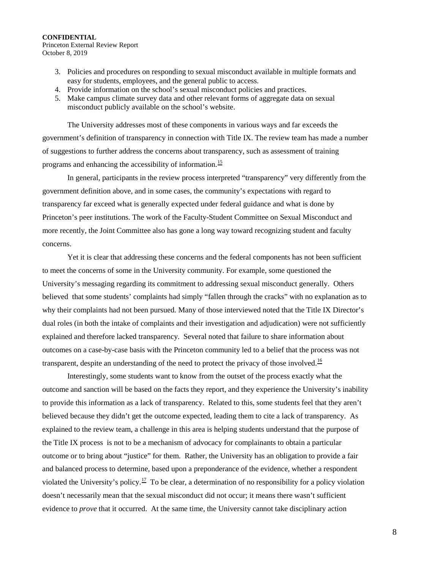Princeton External Review Report October 8, 2019

- 3. Policies and procedures on responding to sexual misconduct available in multiple formats and easy for students, employees, and the general public to access.
- 4. Provide information on the school's sexual misconduct policies and practices.
- 5. Make campus climate survey data and other relevant forms of aggregate data on sexual misconduct publicly available on the school's website.

The University addresses most of these components in various ways and far exceeds the government's definition of transparency in connection with Title IX. The review team has made a number of suggestions to further address the concerns about transparency, such as assessment of training programs and enhancing the accessibility of information.[15](#page-28-5) 

In general, participants in the review process interpreted "transparency" very differently from the government definition above, and in some cases, the community's expectations with regard to transparency far exceed what is generally expected under federal guidance and what is done by Princeton's peer institutions. The work of the Faculty-Student Committee on Sexual Misconduct and more recently, the Joint Committee also has gone a long way toward recognizing student and faculty concerns.

Yet it is clear that addressing these concerns and the federal components has not been sufficient to meet the concerns of some in the University community. For example, some questioned the University's messaging regarding its commitment to addressing sexual misconduct generally. Others believed that some students' complaints had simply "fallen through the cracks" with no explanation as to why their complaints had not been pursued. Many of those interviewed noted that the Title IX Director's dual roles (in both the intake of complaints and their investigation and adjudication) were not sufficiently explained and therefore lacked transparency. Several noted that failure to share information about outcomes on a case-by-case basis with the Princeton community led to a belief that the process was not transparent, despite an understanding of the need to protect the privacy of those involved.<sup>16</sup>

Interestingly, some students want to know from the outset of the process exactly what the outcome and sanction will be based on the facts they report, and they experience the University's inability to provide this information as a lack of transparency. Related to this, some students feel that they aren't believed because they didn't get the outcome expected, leading them to cite a lack of transparency. As explained to the review team, a challenge in this area is helping students understand that the purpose of the Title IX process is not to be a mechanism of advocacy for complainants to obtain a particular outcome or to bring about "justice" for them. Rather, the University has an obligation to provide a fair and balanced process to determine, based upon a preponderance of the evidence, whether a respondent violated the University's policy.<sup>17</sup> To be clear, a determination of no responsibility for a policy violation doesn't necessarily mean that the sexual misconduct did not occur; it means there wasn't sufficient evidence to *prove* that it occurred. At the same time, the University cannot take disciplinary action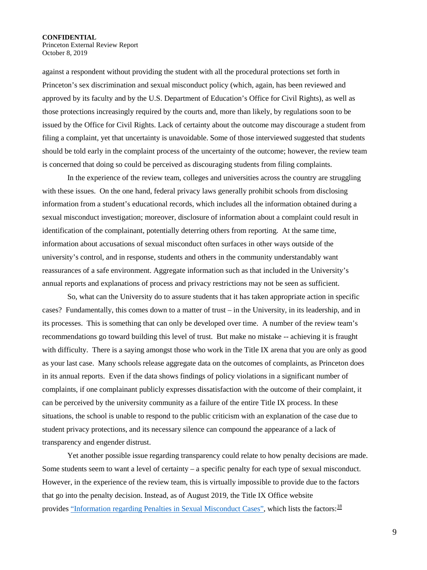Princeton External Review Report October 8, 2019

against a respondent without providing the student with all the procedural protections set forth in Princeton's sex discrimination and sexual misconduct policy (which, again, has been reviewed and approved by its faculty and by the U.S. Department of Education's Office for Civil Rights), as well as those protections increasingly required by the courts and, more than likely, by regulations soon to be issued by the Office for Civil Rights. Lack of certainty about the outcome may discourage a student from filing a complaint, yet that uncertainty is unavoidable. Some of those interviewed suggested that students should be told early in the complaint process of the uncertainty of the outcome; however, the review team is concerned that doing so could be perceived as discouraging students from filing complaints.

In the experience of the review team, colleges and universities across the country are struggling with these issues. On the one hand, federal privacy laws generally prohibit schools from disclosing information from a student's educational records, which includes all the information obtained during a sexual misconduct investigation; moreover, disclosure of information about a complaint could result in identification of the complainant, potentially deterring others from reporting. At the same time, information about accusations of sexual misconduct often surfaces in other ways outside of the university's control, and in response, students and others in the community understandably want reassurances of a safe environment. Aggregate information such as that included in the University's annual reports and explanations of process and privacy restrictions may not be seen as sufficient.

So, what can the University do to assure students that it has taken appropriate action in specific cases? Fundamentally, this comes down to a matter of trust – in the University, in its leadership, and in its processes. This is something that can only be developed over time. A number of the review team's recommendations go toward building this level of trust. But make no mistake -- achieving it is fraught with difficulty. There is a saying amongst those who work in the Title IX arena that you are only as good as your last case. Many schools release aggregate data on the outcomes of complaints, as Princeton does in its annual reports. Even if the data shows findings of policy violations in a significant number of complaints, if one complainant publicly expresses dissatisfaction with the outcome of their complaint, it can be perceived by the university community as a failure of the entire Title IX process. In these situations, the school is unable to respond to the public criticism with an explanation of the case due to student privacy protections, and its necessary silence can compound the appearance of a lack of transparency and engender distrust.

Yet another possible issue regarding transparency could relate to how penalty decisions are made. Some students seem to want a level of certainty – a specific penalty for each type of sexual misconduct. However, in the experience of the review team, this is virtually impossible to provide due to the factors that go into the penalty decision. Instead, as of August 2019, the Title IX Office website provides ["Information regarding Penalties in Sexual Misconduct Cases",](https://sexualmisconduct.princeton.edu/reports/penalties) which lists the factors:<sup>[18](#page-28-8)</sup>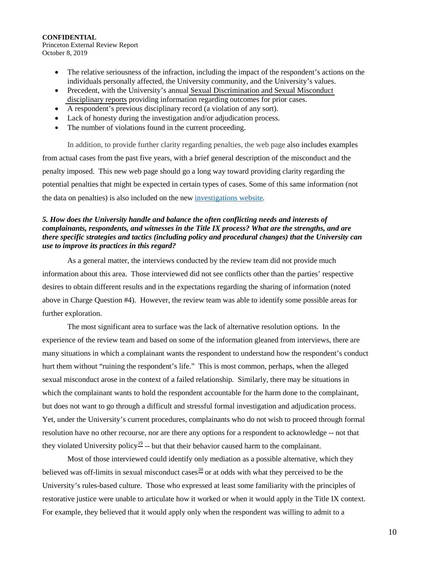Princeton External Review Report October 8, 2019

- The relative seriousness of the infraction, including the impact of the respondent's actions on the individuals personally affected, the University community, and the University's values.
- Precedent, with the University's annual Sexual Discrimination and Sexual Misconduct [disciplinary reports](https://sexualmisconduct.princeton.edu/reports) providing information regarding outcomes for prior cases.
- A respondent's previous disciplinary record (a violation of any sort).
- Lack of honesty during the investigation and/or adjudication process.
- The number of violations found in the current proceeding.

In addition, to provide further clarity regarding penalties, the web page also includes examples from actual cases from the past five years, with a brief general description of the misconduct and the penalty imposed. This new web page should go a long way toward providing clarity regarding the potential penalties that might be expected in certain types of cases. Some of this same information (not the data on penalties) is also included on the new [investigations website.](https://sexualmisconductinvestigations.princeton.edu/information-parties/penalties)

### *5. How does the University handle and balance the often conflicting needs and interests of complainants, respondents, and witnesses in the Title IX process? What are the strengths, and are there specific strategies and tactics (including policy and procedural changes) that the University can use to improve its practices in this regard?*

As a general matter, the interviews conducted by the review team did not provide much information about this area. Those interviewed did not see conflicts other than the parties' respective desires to obtain different results and in the expectations regarding the sharing of information (noted above in Charge Question #4). However, the review team was able to identify some possible areas for further exploration.

The most significant area to surface was the lack of alternative resolution options. In the experience of the review team and based on some of the information gleaned from interviews, there are many situations in which a complainant wants the respondent to understand how the respondent's conduct hurt them without "ruining the respondent's life." This is most common, perhaps, when the alleged sexual misconduct arose in the context of a failed relationship. Similarly, there may be situations in which the complainant wants to hold the respondent accountable for the harm done to the complainant, but does not want to go through a difficult and stressful formal investigation and adjudication process. Yet, under the University's current procedures, complainants who do not wish to proceed through formal resolution have no other recourse, nor are there any options for a respondent to acknowledge -- not that they violated University policy<sup>[19](#page-28-9)</sup> -- but that their behavior caused harm to the complainant.

Most of those interviewed could identify only mediation as a possible alternative, which they believed was off-limits in sexual misconduct cases<sup>[20](#page-28-10)</sup> or at odds with what they perceived to be the University's rules-based culture. Those who expressed at least some familiarity with the principles of restorative justice were unable to articulate how it worked or when it would apply in the Title IX context. For example, they believed that it would apply only when the respondent was willing to admit to a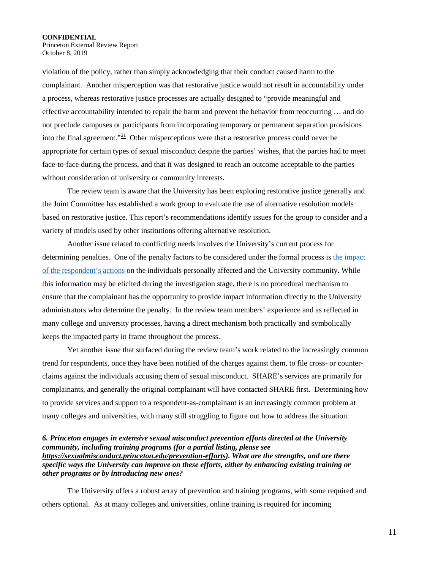Princeton External Review Report October 8, 2019

violation of the policy, rather than simply acknowledging that their conduct caused harm to the complainant. Another misperception was that restorative justice would not result in accountability under a process, whereas restorative justice processes are actually designed to "provide meaningful and effective accountability intended to repair the harm and prevent the behavior from reoccurring … and do not preclude campuses or participants from incorporating temporary or permanent separation provisions into the final agreement."<sup>[21](#page-28-11)</sup> Other misperceptions were that a restorative process could never be appropriate for certain types of sexual misconduct despite the parties' wishes, that the parties had to meet face-to-face during the process, and that it was designed to reach an outcome acceptable to the parties without consideration of university or community interests.

The review team is aware that the University has been exploring restorative justice generally and the Joint Committee has established a work group to evaluate the use of alternative resolution models based on restorative justice. This report's recommendations identify issues for the group to consider and a variety of models used by other institutions offering alternative resolution.

Another issue related to conflicting needs involves the University's current process for determining penalties. One of the penalty factors to be considered under the formal process is [the impact](https://sexualmisconduct.princeton.edu/reports/penalties)  [of the respondent's actions](https://sexualmisconduct.princeton.edu/reports/penalties) on the individuals personally affected and the University community. While this information may be elicited during the investigation stage, there is no procedural mechanism to ensure that the complainant has the opportunity to provide impact information directly to the University administrators who determine the penalty. In the review team members' experience and as reflected in many college and university processes, having a direct mechanism both practically and symbolically keeps the impacted party in frame throughout the process.

Yet another issue that surfaced during the review team's work related to the increasingly common trend for respondents, once they have been notified of the charges against them, to file cross- or counterclaims against the individuals accusing them of sexual misconduct. SHARE's services are primarily for complainants, and generally the original complainant will have contacted SHARE first. Determining how to provide services and support to a respondent-as-complainant is an increasingly common problem at many colleges and universities, with many still struggling to figure out how to address the situation.

### *6. Princeton engages in extensive sexual misconduct prevention efforts directed at the University community, including training programs (for a partial listing, please see [https://sexualmisconduct.princeton.edu/prevention-efforts\)](https://sexualmisconductinvestigations.princeton.edu/prevention-efforts). What are the strengths, and are there specific ways the University can improve on these efforts, either by enhancing existing training or other programs or by introducing new ones?*

The University offers a robust array of prevention and training programs, with some required and others optional. As at many colleges and universities, online training is required for incoming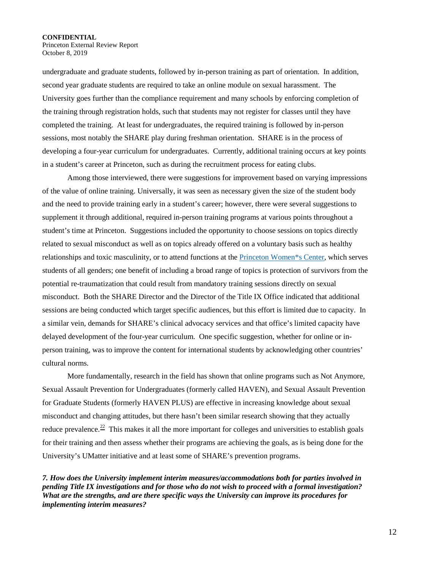Princeton External Review Report October 8, 2019

undergraduate and graduate students, followed by in-person training as part of orientation. In addition, second year graduate students are required to take an online module on sexual harassment. The University goes further than the compliance requirement and many schools by enforcing completion of the training through registration holds, such that students may not register for classes until they have completed the training. At least for undergraduates, the required training is followed by in-person sessions, most notably the SHARE play during freshman orientation. SHARE is in the process of developing a four-year curriculum for undergraduates. Currently, additional training occurs at key points in a student's career at Princeton, such as during the recruitment process for eating clubs.

Among those interviewed, there were suggestions for improvement based on varying impressions of the value of online training. Universally, it was seen as necessary given the size of the student body and the need to provide training early in a student's career; however, there were several suggestions to supplement it through additional, required in-person training programs at various points throughout a student's time at Princeton. Suggestions included the opportunity to choose sessions on topics directly related to sexual misconduct as well as on topics already offered on a voluntary basis such as healthy relationships and toxic masculinity, or to attend functions at the [Princeton Women\\*s Center,](http://women.princeton.edu/) which serves students of all genders; one benefit of including a broad range of topics is protection of survivors from the potential re-traumatization that could result from mandatory training sessions directly on sexual misconduct. Both the SHARE Director and the Director of the Title IX Office indicated that additional sessions are being conducted which target specific audiences, but this effort is limited due to capacity. In a similar vein, demands for SHARE's clinical advocacy services and that office's limited capacity have delayed development of the four-year curriculum. One specific suggestion, whether for online or inperson training, was to improve the content for international students by acknowledging other countries' cultural norms.

More fundamentally, research in the field has shown that online programs such as Not Anymore, Sexual Assault Prevention for Undergraduates (formerly called HAVEN), and Sexual Assault Prevention for Graduate Students (formerly HAVEN PLUS) are effective in increasing knowledge about sexual misconduct and changing attitudes, but there hasn't been similar research showing that they actually reduce prevalence.<sup>[22](#page-28-12)</sup> This makes it all the more important for colleges and universities to establish goals for their training and then assess whether their programs are achieving the goals, as is being done for the University's UMatter initiative and at least some of SHARE's prevention programs.

*7. How does the University implement interim measures/accommodations both for parties involved in pending Title IX investigations and for those who do not wish to proceed with a formal investigation? What are the strengths, and are there specific ways the University can improve its procedures for implementing interim measures?*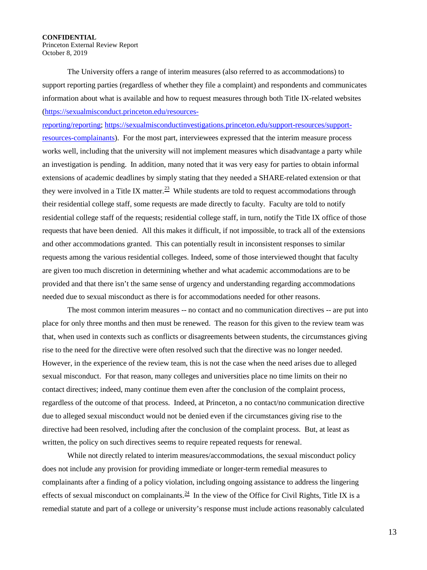Princeton External Review Report October 8, 2019

The University offers a range of interim measures (also referred to as accommodations) to support reporting parties (regardless of whether they file a complaint) and respondents and communicates information about what is available and how to request measures through both Title IX-related websites [\(https://sexualmisconduct.princeton.edu/resources-](https://sexualmisconduct.princeton.edu/resources-reporting/reporting)

[reporting/reporting;](https://sexualmisconduct.princeton.edu/resources-reporting/reporting) [https://sexualmisconductinvestigations.princeton.edu/support-resources/support](https://sexualmisconductinvestigations.princeton.edu/support-resources/support-resources-complainants)[resources-complainants\)](https://sexualmisconductinvestigations.princeton.edu/support-resources/support-resources-complainants). For the most part, interviewees expressed that the interim measure process works well, including that the university will not implement measures which disadvantage a party while an investigation is pending. In addition, many noted that it was very easy for parties to obtain informal extensions of academic deadlines by simply stating that they needed a SHARE-related extension or that they were involved in a Title IX matter.<sup>23</sup> While students are told to request accommodations through their residential college staff, some requests are made directly to faculty. Faculty are told to notify residential college staff of the requests; residential college staff, in turn, notify the Title IX office of those requests that have been denied. All this makes it difficult, if not impossible, to track all of the extensions and other accommodations granted. This can potentially result in inconsistent responses to similar requests among the various residential colleges. Indeed, some of those interviewed thought that faculty are given too much discretion in determining whether and what academic accommodations are to be provided and that there isn't the same sense of urgency and understanding regarding accommodations needed due to sexual misconduct as there is for accommodations needed for other reasons.

The most common interim measures -- no contact and no communication directives -- are put into place for only three months and then must be renewed. The reason for this given to the review team was that, when used in contexts such as conflicts or disagreements between students, the circumstances giving rise to the need for the directive were often resolved such that the directive was no longer needed. However, in the experience of the review team, this is not the case when the need arises due to alleged sexual misconduct. For that reason, many colleges and universities place no time limits on their no contact directives; indeed, many continue them even after the conclusion of the complaint process, regardless of the outcome of that process. Indeed, at Princeton, a no contact/no communication directive due to alleged sexual misconduct would not be denied even if the circumstances giving rise to the directive had been resolved, including after the conclusion of the complaint process. But, at least as written, the policy on such directives seems to require repeated requests for renewal.

While not directly related to interim measures/accommodations, the sexual misconduct policy does not include any provision for providing immediate or longer-term remedial measures to complainants after a finding of a policy violation, including ongoing assistance to address the lingering effects of sexual misconduct on complainants.<sup>24</sup> In the view of the Office for Civil Rights, Title IX is a remedial statute and part of a college or university's response must include actions reasonably calculated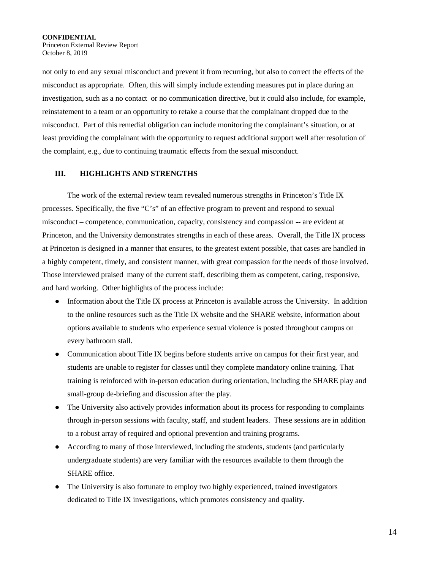**CONFIDENTIAL**  Princeton External Review Report October 8, 2019

not only to end any sexual misconduct and prevent it from recurring, but also to correct the effects of the misconduct as appropriate. Often, this will simply include extending measures put in place during an investigation, such as a no contact or no communication directive, but it could also include, for example, reinstatement to a team or an opportunity to retake a course that the complainant dropped due to the misconduct. Part of this remedial obligation can include monitoring the complainant's situation, or at least providing the complainant with the opportunity to request additional support well after resolution of the complaint, e.g., due to continuing traumatic effects from the sexual misconduct.

### **III. HIGHLIGHTS AND STRENGTHS**

The work of the external review team revealed numerous strengths in Princeton's Title IX processes. Specifically, the five "C's" of an effective program to prevent and respond to sexual misconduct – competence, communication, capacity, consistency and compassion -- are evident at Princeton, and the University demonstrates strengths in each of these areas. Overall, the Title IX process at Princeton is designed in a manner that ensures, to the greatest extent possible, that cases are handled in a highly competent, timely, and consistent manner, with great compassion for the needs of those involved. Those interviewed praised many of the current staff, describing them as competent, caring, responsive, and hard working. Other highlights of the process include:

- Information about the Title IX process at Princeton is available across the University. In addition to the online resources such as the Title IX website and the SHARE website, information about options available to students who experience sexual violence is posted throughout campus on every bathroom stall.
- Communication about Title IX begins before students arrive on campus for their first year, and students are unable to register for classes until they complete mandatory online training. That training is reinforced with in-person education during orientation, including the SHARE play and small-group de-briefing and discussion after the play.
- The University also actively provides information about its process for responding to complaints through in-person sessions with faculty, staff, and student leaders. These sessions are in addition to a robust array of required and optional prevention and training programs.
- According to many of those interviewed, including the students, students (and particularly undergraduate students) are very familiar with the resources available to them through the SHARE office.
- The University is also fortunate to employ two highly experienced, trained investigators dedicated to Title IX investigations, which promotes consistency and quality.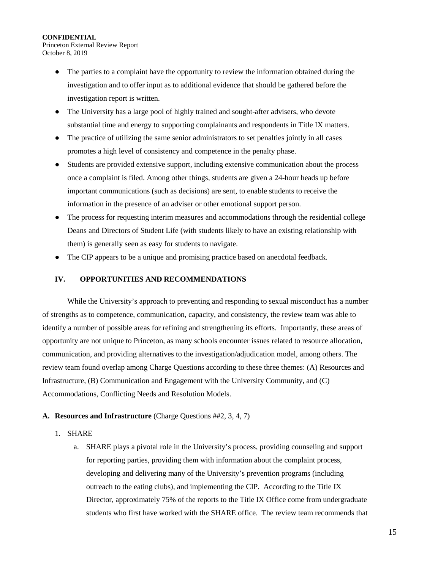Princeton External Review Report October 8, 2019

- The parties to a complaint have the opportunity to review the information obtained during the investigation and to offer input as to additional evidence that should be gathered before the investigation report is written.
- The University has a large pool of highly trained and sought-after advisers, who devote substantial time and energy to supporting complainants and respondents in Title IX matters.
- The practice of utilizing the same senior administrators to set penalties jointly in all cases promotes a high level of consistency and competence in the penalty phase.
- Students are provided extensive support, including extensive communication about the process once a complaint is filed. Among other things, students are given a 24-hour heads up before important communications (such as decisions) are sent, to enable students to receive the information in the presence of an adviser or other emotional support person.
- The process for requesting interim measures and accommodations through the residential college Deans and Directors of Student Life (with students likely to have an existing relationship with them) is generally seen as easy for students to navigate.
- The CIP appears to be a unique and promising practice based on anecdotal feedback.

### **IV. OPPORTUNITIES AND RECOMMENDATIONS**

While the University's approach to preventing and responding to sexual misconduct has a number of strengths as to competence, communication, capacity, and consistency, the review team was able to identify a number of possible areas for refining and strengthening its efforts. Importantly, these areas of opportunity are not unique to Princeton, as many schools encounter issues related to resource allocation, communication, and providing alternatives to the investigation/adjudication model, among others. The review team found overlap among Charge Questions according to these three themes: (A) Resources and Infrastructure, (B) Communication and Engagement with the University Community, and (C) Accommodations, Conflicting Needs and Resolution Models.

# **A. Resources and Infrastructure** (Charge Questions ##2, 3, 4, 7)

- 1. SHARE
	- a. SHARE plays a pivotal role in the University's process, providing counseling and support for reporting parties, providing them with information about the complaint process, developing and delivering many of the University's prevention programs (including outreach to the eating clubs), and implementing the CIP. According to the Title IX Director, approximately 75% of the reports to the Title IX Office come from undergraduate students who first have worked with the SHARE office. The review team recommends that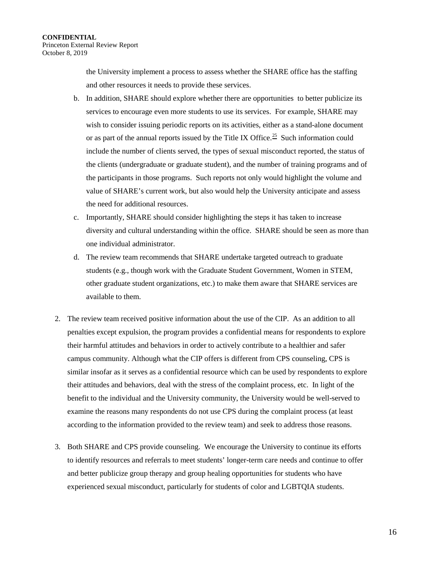the University implement a process to assess whether the SHARE office has the staffing and other resources it needs to provide these services.

- b. In addition, SHARE should explore whether there are opportunities to better publicize its services to encourage even more students to use its services. For example, SHARE may wish to consider issuing periodic reports on its activities, either as a stand-alone document or as part of the annual reports issued by the Title IX Office.<sup>[25](#page-28-15)</sup> Such information could include the number of clients served, the types of sexual misconduct reported, the status of the clients (undergraduate or graduate student), and the number of training programs and of the participants in those programs. Such reports not only would highlight the volume and value of SHARE's current work, but also would help the University anticipate and assess the need for additional resources.
- c. Importantly, SHARE should consider highlighting the steps it has taken to increase diversity and cultural understanding within the office. SHARE should be seen as more than one individual administrator.
- d. The review team recommends that SHARE undertake targeted outreach to graduate students (e.g., though work with the Graduate Student Government, Women in STEM, other graduate student organizations, etc.) to make them aware that SHARE services are available to them.
- 2. The review team received positive information about the use of the CIP. As an addition to all penalties except expulsion, the program provides a confidential means for respondents to explore their harmful attitudes and behaviors in order to actively contribute to a healthier and safer campus community. Although what the CIP offers is different from CPS counseling, CPS is similar insofar as it serves as a confidential resource which can be used by respondents to explore their attitudes and behaviors, deal with the stress of the complaint process, etc. In light of the benefit to the individual and the University community, the University would be well-served to examine the reasons many respondents do not use CPS during the complaint process (at least according to the information provided to the review team) and seek to address those reasons.
- 3. Both SHARE and CPS provide counseling. We encourage the University to continue its efforts to identify resources and referrals to meet students' longer-term care needs and continue to offer and better publicize group therapy and group healing opportunities for students who have experienced sexual misconduct, particularly for students of color and LGBTQIA students.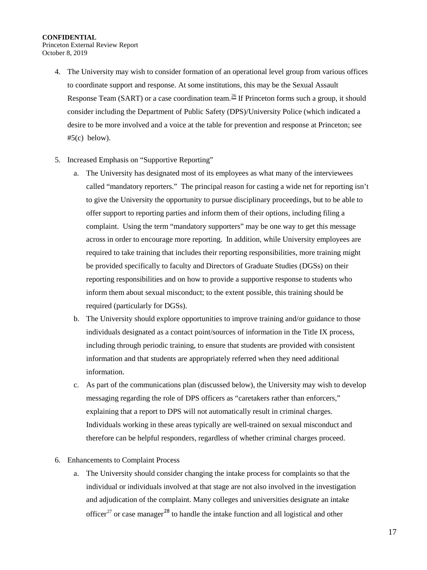Princeton External Review Report October 8, 2019

- 4. The University may wish to consider formation of an operational level group from various offices to coordinate support and response. At some institutions, this may be the Sexual Assault Response Team (SART) or a case coordination team.<sup>26</sup> If Princeton forms such a group, it should consider including the Department of Public Safety (DPS)/University Police (which indicated a desire to be more involved and a voice at the table for prevention and response at Princeton; see  $#5(c)$  below).
- 5. Increased Emphasis on "Supportive Reporting"
	- a. The University has designated most of its employees as what many of the interviewees called "mandatory reporters." The principal reason for casting a wide net for reporting isn't to give the University the opportunity to pursue disciplinary proceedings, but to be able to offer support to reporting parties and inform them of their options, including filing a complaint. Using the term "mandatory supporters" may be one way to get this message across in order to encourage more reporting. In addition, while University employees are required to take training that includes their reporting responsibilities, more training might be provided specifically to faculty and Directors of Graduate Studies (DGSs) on their reporting responsibilities and on how to provide a supportive response to students who inform them about sexual misconduct; to the extent possible, this training should be required (particularly for DGSs).
	- b. The University should explore opportunities to improve training and/or guidance to those individuals designated as a contact point/sources of information in the Title IX process, including through periodic training, to ensure that students are provided with consistent information and that students are appropriately referred when they need additional information.
	- c. As part of the communications plan (discussed below), the University may wish to develop messaging regarding the role of DPS officers as "caretakers rather than enforcers," explaining that a report to DPS will not automatically result in criminal charges. Individuals working in these areas typically are well-trained on sexual misconduct and therefore can be helpful responders, regardless of whether criminal charges proceed.
- 6. Enhancements to Complaint Process
	- a. The University should consider changing the intake process for complaints so that the individual or individuals involved at that stage are not also involved in the investigation and adjudication of the complaint. Many colleges and universities designate an intake officer<sup>[27](#page-28-17)</sup> or case manager<sup>[28](#page-28-18)</sup> to handle the intake function and all logistical and other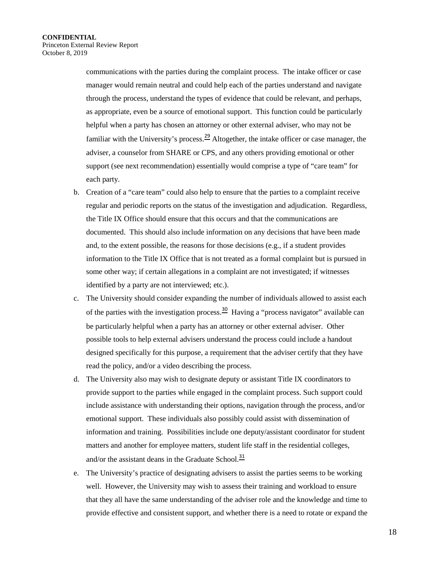communications with the parties during the complaint process. The intake officer or case manager would remain neutral and could help each of the parties understand and navigate through the process, understand the types of evidence that could be relevant, and perhaps, as appropriate, even be a source of emotional support. This function could be particularly helpful when a party has chosen an attorney or other external adviser, who may not be familiar with the University's process.<sup>[29](#page-28-19)</sup> Altogether, the intake officer or case manager, the adviser, a counselor from SHARE or CPS, and any others providing emotional or other support (see next recommendation) essentially would comprise a type of "care team" for each party.

- b. Creation of a "care team" could also help to ensure that the parties to a complaint receive regular and periodic reports on the status of the investigation and adjudication. Regardless, the Title IX Office should ensure that this occurs and that the communications are documented. This should also include information on any decisions that have been made and, to the extent possible, the reasons for those decisions (e.g., if a student provides information to the Title IX Office that is not treated as a formal complaint but is pursued in some other way; if certain allegations in a complaint are not investigated; if witnesses identified by a party are not interviewed; etc.).
- c. The University should consider expanding the number of individuals allowed to assist each of the parties with the investigation process.<sup>[30](#page-28-20)</sup> Having a "process navigator" available can be particularly helpful when a party has an attorney or other external adviser. Other possible tools to help external advisers understand the process could include a handout designed specifically for this purpose, a requirement that the adviser certify that they have read the policy, and/or a video describing the process.
- d. The University also may wish to designate deputy or assistant Title IX coordinators to provide support to the parties while engaged in the complaint process. Such support could include assistance with understanding their options, navigation through the process, and/or emotional support. These individuals also possibly could assist with dissemination of information and training. Possibilities include one deputy/assistant coordinator for student matters and another for employee matters, student life staff in the residential colleges, and/or the assistant deans in the Graduate School. $31$
- e. The University's practice of designating advisers to assist the parties seems to be working well. However, the University may wish to assess their training and workload to ensure that they all have the same understanding of the adviser role and the knowledge and time to provide effective and consistent support, and whether there is a need to rotate or expand the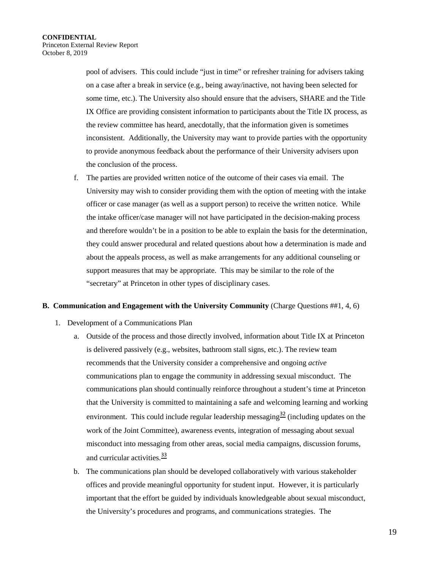pool of advisers. This could include "just in time" or refresher training for advisers taking on a case after a break in service (e.g., being away/inactive, not having been selected for some time, etc.). The University also should ensure that the advisers, SHARE and the Title IX Office are providing consistent information to participants about the Title IX process, as the review committee has heard, anecdotally, that the information given is sometimes inconsistent. Additionally, the University may want to provide parties with the opportunity to provide anonymous feedback about the performance of their University advisers upon the conclusion of the process.

f. The parties are provided written notice of the outcome of their cases via email. The University may wish to consider providing them with the option of meeting with the intake officer or case manager (as well as a support person) to receive the written notice. While the intake officer/case manager will not have participated in the decision-making process and therefore wouldn't be in a position to be able to explain the basis for the determination, they could answer procedural and related questions about how a determination is made and about the appeals process, as well as make arrangements for any additional counseling or support measures that may be appropriate. This may be similar to the role of the "secretary" at Princeton in other types of disciplinary cases.

### **B. Communication and Engagement with the University Community** (Charge Questions ##1, 4, 6)

- 1. Development of a Communications Plan
	- a. Outside of the process and those directly involved, information about Title IX at Princeton is delivered passively (e.g., websites, bathroom stall signs, etc.). The review team recommends that the University consider a comprehensive and ongoing *active* communications plan to engage the community in addressing sexual misconduct. The communications plan should continually reinforce throughout a student's time at Princeton that the University is committed to maintaining a safe and welcoming learning and working environment. This could include regular leadership messaging<sup>[32](#page-28-7)</sup> (including updates on the work of the Joint Committee), awareness events, integration of messaging about sexual misconduct into messaging from other areas, social media campaigns, discussion forums, and curricular activities.<sup>[33](#page-28-8)</sup>
	- b. The communications plan should be developed collaboratively with various stakeholder offices and provide meaningful opportunity for student input. However, it is particularly important that the effort be guided by individuals knowledgeable about sexual misconduct, the University's procedures and programs, and communications strategies. The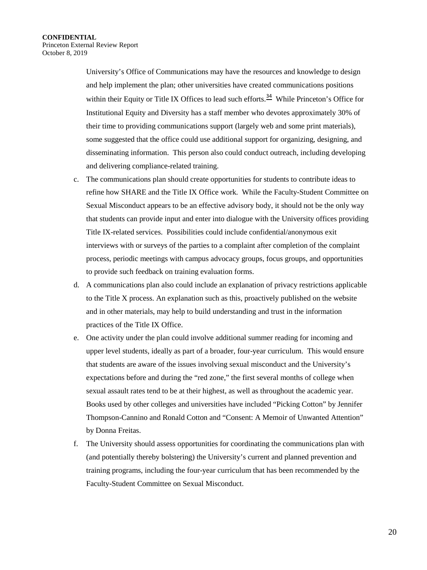University's Office of Communications may have the resources and knowledge to design and help implement the plan; other universities have created communications positions within their Equity or Title IX Offices to lead such efforts.<sup>[34](#page-28-22)</sup> While Princeton's Office for Institutional Equity and Diversity has a staff member who devotes approximately 30% of their time to providing communications support (largely web and some print materials), some suggested that the office could use additional support for organizing, designing, and disseminating information. This person also could conduct outreach, including developing and delivering compliance-related training.

- c. The communications plan should create opportunities for students to contribute ideas to refine how SHARE and the Title IX Office work. While the Faculty-Student Committee on Sexual Misconduct appears to be an effective advisory body, it should not be the only way that students can provide input and enter into dialogue with the University offices providing Title IX-related services. Possibilities could include confidential/anonymous exit interviews with or surveys of the parties to a complaint after completion of the complaint process, periodic meetings with campus advocacy groups, focus groups, and opportunities to provide such feedback on training evaluation forms.
- d. A communications plan also could include an explanation of privacy restrictions applicable to the Title X process. An explanation such as this, proactively published on the website and in other materials, may help to build understanding and trust in the information practices of the Title IX Office.
- e. One activity under the plan could involve additional summer reading for incoming and upper level students, ideally as part of a broader, four-year curriculum. This would ensure that students are aware of the issues involving sexual misconduct and the University's expectations before and during the "red zone," the first several months of college when sexual assault rates tend to be at their highest, as well as throughout the academic year. Books used by other colleges and universities have included "Picking Cotton" by Jennifer Thompson-Cannino and Ronald Cotton and "Consent: A Memoir of Unwanted Attention" by Donna Freitas.
- f. The University should assess opportunities for coordinating the communications plan with (and potentially thereby bolstering) the University's current and planned prevention and training programs, including the four-year curriculum that has been recommended by the Faculty-Student Committee on Sexual Misconduct.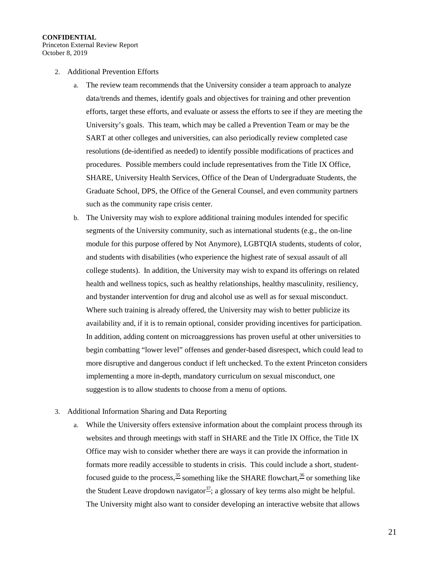Princeton External Review Report October 8, 2019

- 2. Additional Prevention Efforts
	- a. The review team recommends that the University consider a team approach to analyze data/trends and themes, identify goals and objectives for training and other prevention efforts, target these efforts, and evaluate or assess the efforts to see if they are meeting the University's goals. This team, which may be called a Prevention Team or may be the SART at other colleges and universities, can also periodically review completed case resolutions (de-identified as needed) to identify possible modifications of practices and procedures. Possible members could include representatives from the Title IX Office, SHARE, University Health Services, Office of the Dean of Undergraduate Students, the Graduate School, DPS, the Office of the General Counsel, and even community partners such as the community rape crisis center.
	- b. The University may wish to explore additional training modules intended for specific segments of the University community, such as international students (e.g., the on-line module for this purpose offered by Not Anymore), LGBTQIA students, students of color, and students with disabilities (who experience the highest rate of sexual assault of all college students). In addition, the University may wish to expand its offerings on related health and wellness topics, such as healthy relationships, healthy masculinity, resiliency, and bystander intervention for drug and alcohol use as well as for sexual misconduct. Where such training is already offered, the University may wish to better publicize its availability and, if it is to remain optional, consider providing incentives for participation. In addition, adding content on microaggressions has proven useful at other universities to begin combatting "lower level" offenses and gender-based disrespect, which could lead to more disruptive and dangerous conduct if left unchecked. To the extent Princeton considers implementing a more in-depth, mandatory curriculum on sexual misconduct, one suggestion is to allow students to choose from a menu of options.

### 3. Additional Information Sharing and Data Reporting

a. While the University offers extensive information about the complaint process through its websites and through meetings with staff in SHARE and the Title IX Office, the Title IX Office may wish to consider whether there are ways it can provide the information in formats more readily accessible to students in crisis. This could include a short, studentfocused guide to the process,  $35$  something like the SHARE flowchart,  $36$  or something like the Student Leave dropdown navigator<sup>[37](#page-28-25)</sup>; a glossary of key terms also might be helpful. The University might also want to consider developing an interactive website that allows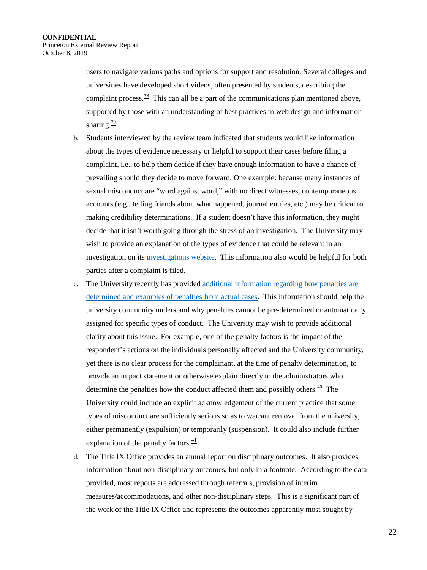users to navigate various paths and options for support and resolution. Several colleges and universities have developed short videos, often presented by students, describing the complaint process.<sup>38</sup> This can all be a part of the communications plan mentioned above, supported by those with an understanding of best practices in web design and information sharing. $39$ 

- b. Students interviewed by the review team indicated that students would like information about the types of evidence necessary or helpful to support their cases before filing a complaint, i.e., to help them decide if they have enough information to have a chance of prevailing should they decide to move forward. One example: because many instances of sexual misconduct are "word against word," with no direct witnesses, contemporaneous accounts (e.g., telling friends about what happened, journal entries, etc.) may be critical to making credibility determinations. If a student doesn't have this information, they might decide that it isn't worth going through the stress of an investigation. The University may wish to provide an explanation of the types of evidence that could be relevant in an investigation on its [investigations website.](https://sexualmisconductinvestigations.princeton.edu/information-parties/investigation-process) This information also would be helpful for both parties after a complaint is filed.
- c. The University recently has provided [additional information regarding how penalties are](https://sexualmisconduct.princeton.edu/reports/penalties)  [determined and examples of penalties from actual cases.](https://sexualmisconduct.princeton.edu/reports/penalties) This information should help the university community understand why penalties cannot be pre-determined or automatically assigned for specific types of conduct. The University may wish to provide additional clarity about this issue. For example, one of the penalty factors is the impact of the respondent's actions on the individuals personally affected and the University community, yet there is no clear process for the complainant, at the time of penalty determination, to provide an impact statement or otherwise explain directly to the administrators who determine the penalties how the conduct affected them and possibly others.<sup>40</sup> The University could include an explicit acknowledgement of the current practice that some types of misconduct are sufficiently serious so as to warrant removal from the university, either permanently (expulsion) or temporarily (suspension). It could also include further explanation of the penalty factors. $41$
- d. The Title IX Office provides an annual report on disciplinary outcomes. It also provides information about non-disciplinary outcomes, but only in a footnote. According to the data provided, most reports are addressed through referrals, provision of interim measures/accommodations, and other non-disciplinary steps. This is a significant part of the work of the Title IX Office and represents the outcomes apparently most sought by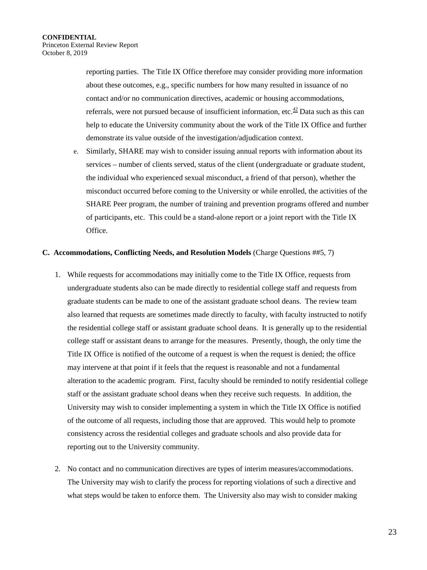reporting parties. The Title IX Office therefore may consider providing more information about these outcomes, e.g., specific numbers for how many resulted in issuance of no contact and/or no communication directives, academic or housing accommodations, referrals, were not pursued because of insufficient information, etc.<sup>[42](#page-28-10)</sup> Data such as this can help to educate the University community about the work of the Title IX Office and further demonstrate its value outside of the investigation/adjudication context.

e. Similarly, SHARE may wish to consider issuing annual reports with information about its services – number of clients served, status of the client (undergraduate or graduate student, the individual who experienced sexual misconduct, a friend of that person), whether the misconduct occurred before coming to the University or while enrolled, the activities of the SHARE Peer program, the number of training and prevention programs offered and number of participants, etc. This could be a stand-alone report or a joint report with the Title IX Office.

### **C. Accommodations, Conflicting Needs, and Resolution Models** (Charge Questions ##5, 7)

- 1. While requests for accommodations may initially come to the Title IX Office, requests from undergraduate students also can be made directly to residential college staff and requests from graduate students can be made to one of the assistant graduate school deans. The review team also learned that requests are sometimes made directly to faculty, with faculty instructed to notify the residential college staff or assistant graduate school deans. It is generally up to the residential college staff or assistant deans to arrange for the measures. Presently, though, the only time the Title IX Office is notified of the outcome of a request is when the request is denied; the office may intervene at that point if it feels that the request is reasonable and not a fundamental alteration to the academic program. First, faculty should be reminded to notify residential college staff or the assistant graduate school deans when they receive such requests. In addition, the University may wish to consider implementing a system in which the Title IX Office is notified of the outcome of all requests, including those that are approved. This would help to promote consistency across the residential colleges and graduate schools and also provide data for reporting out to the University community.
- 2. No contact and no communication directives are types of interim measures/accommodations. The University may wish to clarify the process for reporting violations of such a directive and what steps would be taken to enforce them. The University also may wish to consider making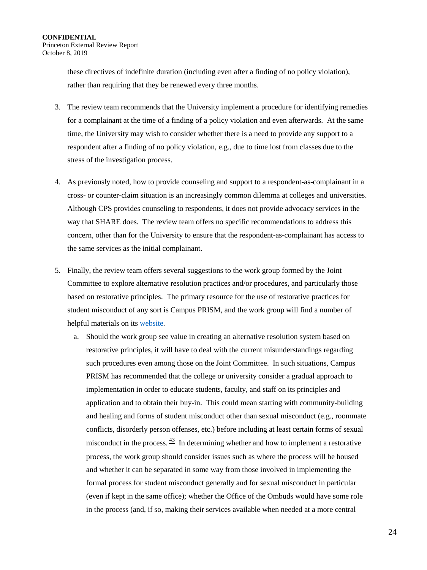these directives of indefinite duration (including even after a finding of no policy violation), rather than requiring that they be renewed every three months.

- 3. The review team recommends that the University implement a procedure for identifying remedies for a complainant at the time of a finding of a policy violation and even afterwards. At the same time, the University may wish to consider whether there is a need to provide any support to a respondent after a finding of no policy violation, e.g., due to time lost from classes due to the stress of the investigation process.
- 4. As previously noted, how to provide counseling and support to a respondent-as-complainant in a cross- or counter-claim situation is an increasingly common dilemma at colleges and universities. Although CPS provides counseling to respondents, it does not provide advocacy services in the way that SHARE does. The review team offers no specific recommendations to address this concern, other than for the University to ensure that the respondent-as-complainant has access to the same services as the initial complainant.
- 5. Finally, the review team offers several suggestions to the work group formed by the Joint Committee to explore alternative resolution practices and/or procedures, and particularly those based on restorative principles. The primary resource for the use of restorative practices for student misconduct of any sort is Campus PRISM, and the work group will find a number of helpful materials on its [website.](https://www.sandiego.edu/soles/restorative-justice/campus-prism.php)
	- a. Should the work group see value in creating an alternative resolution system based on restorative principles, it will have to deal with the current misunderstandings regarding such procedures even among those on the Joint Committee. In such situations, Campus PRISM has recommended that the college or university consider a gradual approach to implementation in order to educate students, faculty, and staff on its principles and application and to obtain their buy-in. This could mean starting with community-building and healing and forms of student misconduct other than sexual misconduct (e.g., roommate conflicts, disorderly person offenses, etc.) before including at least certain forms of sexual misconduct in the process.<sup>43</sup> In determining whether and how to implement a restorative process, the work group should consider issues such as where the process will be housed and whether it can be separated in some way from those involved in implementing the formal process for student misconduct generally and for sexual misconduct in particular (even if kept in the same office); whether the Office of the Ombuds would have some role in the process (and, if so, making their services available when needed at a more central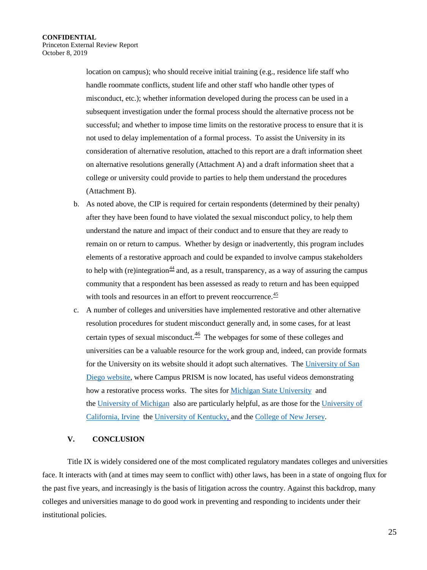location on campus); who should receive initial training (e.g., residence life staff who handle roommate conflicts, student life and other staff who handle other types of misconduct, etc.); whether information developed during the process can be used in a subsequent investigation under the formal process should the alternative process not be successful; and whether to impose time limits on the restorative process to ensure that it is not used to delay implementation of a formal process. To assist the University in its consideration of alternative resolution, attached to this report are a draft information sheet on alternative resolutions generally (Attachment A) and a draft information sheet that a college or university could provide to parties to help them understand the procedures (Attachment B).

- b. As noted above, the CIP is required for certain respondents (determined by their penalty) after they have been found to have violated the sexual misconduct policy, to help them understand the nature and impact of their conduct and to ensure that they are ready to remain on or return to campus. Whether by design or inadvertently, this program includes elements of a restorative approach and could be expanded to involve campus stakeholders to help with (re)integration<sup>[44](#page-28-12)</sup> and, as a result, transparency, as a way of assuring the campus community that a respondent has been assessed as ready to return and has been equipped with tools and resources in an effort to prevent reoccurrence.<sup>45</sup>
- c. A number of colleges and universities have implemented restorative and other alternative resolution procedures for student misconduct generally and, in some cases, for at least certain types of sexual misconduct.<sup>[46](#page-28-31)</sup> The webpages for some of these colleges and universities can be a valuable resource for the work group and, indeed, can provide formats for the University on its website should it adopt such alternatives. Th[e University of San](https://www.sandiego.edu/conduct/restorative-justice/)  [Diego website,](https://www.sandiego.edu/conduct/restorative-justice/) where Campus PRISM is now located, has useful videos demonstrating how a restorative process works. The sites fo[r Michigan State University](https://www.deanofstudents.msu.edu/restorative-justice) and th[e University of Michigan](https://oscr.umich.edu/RestorativeJustice) also are particularly helpful, as are those for the [University of](https://aisc.uci.edu/restorative-justice.php)  [California, Irvine](https://aisc.uci.edu/restorative-justice.php) the [University of Kentucky,](https://www.uky.edu/studentconduct/restorative-justice) and the [College of New Jersey.](https://mediation.pages.tcnj.edu/)

# **V. CONCLUSION**

Title IX is widely considered one of the most complicated regulatory mandates colleges and universities face. It interacts with (and at times may seem to conflict with) other laws, has been in a state of ongoing flux for the past five years, and increasingly is the basis of litigation across the country. Against this backdrop, many colleges and universities manage to do good work in preventing and responding to incidents under their institutional policies.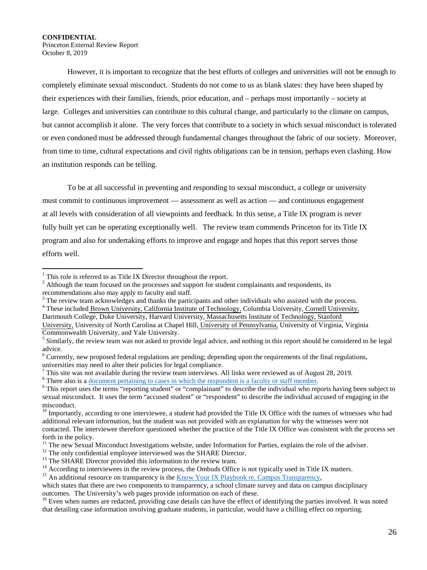# **CONFIDENTIAL**  Princeton External Review Report

October 8, 2019

 $\overline{a}$ 

However, it is important to recognize that the best efforts of colleges and universities will not be enough to completely eliminate sexual misconduct. Students do not come to us as blank slates: they have been shaped by their experiences with their families, friends, prior education, and – perhaps most importantly – society at large. Colleges and universities can contribute to this cultural change, and particularly to the climate on campus, but cannot accomplish it alone. The very forces that contribute to a society in which sexual misconduct is tolerated or even condoned must be addressed through fundamental changes throughout the fabric of our society. Moreover, from time to time, cultural expectations and civil rights obligations can be in tension, perhaps even clashing. How an institution responds can be telling.

To be at all successful in preventing and responding to sexual misconduct, a college or university must commit to continuous improvement — assessment as well as action — and continuous engagement at all levels with consideration of all viewpoints and feedback. In this sense, a Title IX program is never fully built yet can be operating exceptionally well. The review team commends Princeton for its Title IX program and also for undertaking efforts to improve and engage and hopes that this report serves those efforts well.

Dartmouth College, Duke University, Harvard University, [Massachusetts Institute of Technology,](http://ir.mit.edu/) [Stanford](https://irds.stanford.edu/data-findings)  [University,](https://irds.stanford.edu/data-findings) University of North Carolina at Chapel Hill, [University of Pennsylvania,](http://www.upenn.edu/ir/) University of Virginia, Virginia

<sup>&</sup>lt;sup>1</sup> This role is referred to as Title IX Director throughout the report.<br><sup>2</sup> Although the team focused on the processes and support for student complainants and respondents, its recommendations also may apply to faculty and staff.

<sup>&</sup>lt;sup>3</sup> The review team acknowledges and thanks the participants and other individuals who assisted with the process. <sup>4</sup> These include[d Brown University,](https://www.brown.edu/about/administration/institutional-research/) [California Institute of Technology,](https://www.iro.caltech.edu/) Columbia University, Cornell Univer

Commonwealth University, and Yale University.

<sup>&</sup>lt;sup>5</sup> Similarly, the review team was not asked to provide legal advice, and nothing in this report should be considered to be legal advice.

 $6$  Currently, new proposed federal regulations are pending; depending upon the requirements of the final regulations,

universities may need to alter their policies for legal compliance.<br>
<sup>7</sup> This site was not available during the review team interviews. All links were reviewed as of August 28, 2019.<br>
<sup>8</sup> There also is a <u>document pertain</u> sexual misconduct. It uses the term "accused student" or "respondent" to describe the individual accused of engaging in the misconduct.

 $10$  Importantly, according to one interviewee, a student had provided the Title IX Office with the names of witnesses who had additional relevant information, but the student was not provided with an explanation for why the witnesses were not contacted. The interviewee therefore questioned whether the practice of the Title IX Office was consistent with the process set

forth in the policy.<br><sup>11</sup> The new Sexual Misconduct Investigations website, under Information for Parties, explains the role of the adviser.

<sup>&</sup>lt;sup>12</sup> The only confidential employee interviewed was the SHARE Director.<br><sup>13</sup> The SHARE Director provided this information to the review team.<br><sup>14</sup> According to interviewees in the review process, the Ombuds Office is not

which states that there are two components to transparency, a school climate survey and data on campus disciplinary outcomes. The University's web pages provide information on each of these.

<sup>&</sup>lt;sup>16</sup> Even when names are redacted, providing case details can have the effect of identifying the parties involved. It was noted that detailing case information involving graduate students, in particular, would have a chilling effect on reporting.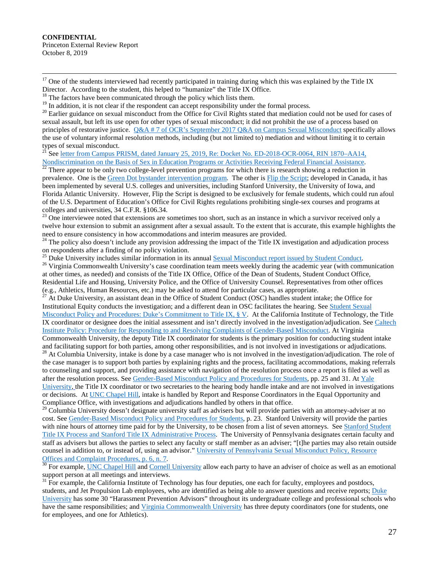**CONFIDENTIAL**  Princeton External Review Report October 8, 2019

 $17$  One of the students interviewed had recently participated in training during which this was explained by the Title IX

Director. According to the student, this helped to "humanize" the Title IX Office.  $18$  The factors have been communicated through the policy which lists them.  $19$  In addition, it is not clear if the respondent can accep

<sup>20</sup> Earlier guidance on sexual misconduct from the Office for Civil Rights stated that mediation could not be used for cases of sexual assault, but left its use open for other types of sexual misconduct; it did not prohibit the use of a process based on principles of restorative justice. [Q&A # 7 of OCR's September 2017 Q&A on Campus Sexual Misconduct](https://www2.ed.gov/about/offices/list/ocr/docs/qa-title-ix-201709.pdf) specifically allows the use of voluntary informal resolution methods, including (but not limited to) mediation and without limiting it to certain types of sexual misconduct.

<sup>21</sup> See [letter from Campus PRISM, dated January 25, 2019, Re: Docket No. ED-2018-OCR-0064, RIN 1870–AA14,](https://www.skidmore.edu/campusrj/documents/Comment-Title-IX-Changes-2019.pdf)  [Nondiscrimination on the Basis of Sex in Education Programs or Activities Receiving Federal Financial Assistance.](https://www.skidmore.edu/campusrj/documents/Comment-Title-IX-Changes-2019.pdf)<br><sup>[22](https://www.skidmore.edu/campusrj/documents/Comment-Title-IX-Changes-2019.pdf)</sup> There appear to be only two college-level prevention programs for which there is research showing a re

prevalence. One is the [Green Dot bystander intervention program.](https://alteristic.org/services/green-dot/green-dot-colleges/%20and%20https:/www.ajpmonline.org/article/S0749-3797(15)00553-X/abstract) The other i[s Flip the Script;](http://sarecentre.org/) developed in Canada, it has been implemented by several U.S. colleges and universities, including Stanford University, the University of Iowa, and Florida Atlantic University. However, Flip the Script is designed to be exclusively for female students, which could run afoul of the U.S. Department of Education's Office for Civil Rights regulations prohibiting single-sex courses and programs at colleges and universities, 34 C.F.R. §106.34.

<sup>23</sup> One interviewee noted that extensions are sometimes too short, such as an instance in which a survivor received only a twelve hour extension to submit an assignment after a sexual assault. To the extent that is accurate, this example highlights the need to ensure consistency in how accommodations and interim measures are provided.<br><sup>24</sup> The policy also doesn't include any provision addressing the impact of the Title IX investigation and adjudication process

on respondents after a finding of no policy violation.<br><sup>25</sup> Duke University includes similar information in its annual Sexual Misconduct report issued by Student Conduct.

<span id="page-26-0"></span><sup>26</sup> Virginia Commonwealth University's case coordination team meets weekly during the academic year (with communication at other times, as needed) and consists of the Title IX Office, Office of the Dean of Students, Student Conduct Office, Residential Life and Housing, University Police, and the Office of University Counsel. Representatives from other offices (e.g., Athletics, Human Resources, etc.) may be asked to attend for particular cases, as appropriate.

<span id="page-26-3"></span><span id="page-26-2"></span><span id="page-26-1"></span><sup>27</sup> At Duke University, an assistant dean in the Office of Student Conduct (OSC) handles student intake; the Office for Institutional Equity conducts the investigation; and a different dean in OSC facilitates the hearing. Se[e Student Sexual](https://studentaffairs.duke.edu/conduct/z-policies/student-sexual-misconduct-policy-dukes-commitment-title-ix)  [Misconduct Policy and Procedures: Duke's Commitment to Title IX, § V.](https://studentaffairs.duke.edu/conduct/z-policies/student-sexual-misconduct-policy-dukes-commitment-title-ix) At the California Institute of Technology, the Title IX coordinator or designee does the initial assessment and isn't directly involved in the investigation/adjudication. See [Caltech](https://hr.caltech.edu/documents/3018/caltech_institute_procedure-gender_based_misconduct.pdf)  Institute [Policy: Procedure for Responding to and Resolving Complaints of Gender-Based Misconduct.](https://hr.caltech.edu/documents/3018/caltech_institute_procedure-gender_based_misconduct.pdf) At Virginia

<span id="page-26-5"></span><span id="page-26-4"></span>Commonwealth University, the deputy Title IX coordinator for students is the primary position for conducting student intake  $^{28}$  At Columbia University, intake is done by a case manager who is not involved in the investigation/adjudication. The role of the case manager is to support both parties by explaining rights and the process, facilitating accommodations, making referrals to counseling and support, and providing assistance with navigation of the resolution process once a report is filed as well as after the resolution process. Se[e Gender-Based Misconduct Policy and Procedures for Students,](http://www.columbia.edu/cu/studentconduct/documents/GBMPolicyandProceduresforStudents.pdf) pp. 25 and 31. At [Yale](https://smr.yale.edu/)  [University,](https://smr.yale.edu/) the Title IX coordinator or two secretaries to the hearing body handle intake and are not involved in investigations or decisions. A[t UNC Chapel Hill,](https://safe.unc.edu/file-a-report/reporting-to-unc/) intake is handled by Report and Response Coordinators in the Equal Opportunity and Compliance Office, with investigations and adjudications handled by others in that office.

<sup>29</sup> Columbia University doesn't designate university staff as advisers but will provide parties with an attorney-adviser at no cost. Se[e Gender-Based Misconduct Policy and Procedures for Students,](http://www.columbia.edu/cu/studentconduct/documents/GBMPolicyandProceduresforStudents.pdf) p. 23. Stanford University will provide the parties with nine hours of attorney time paid for by the University, to be chosen from a list of seven attorneys. See Stanford Student [Title IX Process and Stanford Title IX Administrative Process.](https://titleix.stanford.edu/investigationgrievance-administrative-policy-and-procedures)The University of Pennsylvania designates certain faculty and staff as advisers but allows the parties to select any faculty or staff member as an adviser; "[t]he parties may also retain outside counsel in addition to, or instead of, using an advisor." [University of Pennsylvania Sexual Misconduct Policy, Resource](https://almanac.upenn.edu/uploads/media/OF_RECORD_Sexual_Misconduct_supplement-Web.pdf) 

[Offices and Complaint Procedures, p. 6, n. 7.](https://almanac.upenn.edu/uploads/media/OF_RECORD_Sexual_Misconduct_supplement-Web.pdf)<br><sup>[30](https://almanac.upenn.edu/uploads/media/OF_RECORD_Sexual_Misconduct_supplement-Web.pdf)</sup> For example, <u>UNC Chapel Hill</u> and [Cornell University](https://cpb-us-e1.wpmucdn.com/blogs.cornell.edu/dist/6/7016/files/2019/01/Policy-6.4-Student-Procedures-Effective-1.8.2019-20obqrv.pdf) allow each party to have an adviser of choice as well as an emotional support person at all meetings and interviews.

 $31$  For example, the California Institute of Technology has four deputies, one each for faculty, employees and postdocs, students, and Jet Propulsion Lab employees, who are identified as being able to answer questions and receive reports; Duke [University](https://oie.duke.edu/we-can-help/complaints-and-concerns/harassment/harassment-prevention-advisors) has some 30 "Harassment Prevention Advisors" throughout its undergraduate college and professional schools who have the same responsibilities; and [Virginia Commonwealth University](https://equity.vcu.edu/titleix/report.html) has three deputy coordinators (one for students, one for employees, and one for Athletics).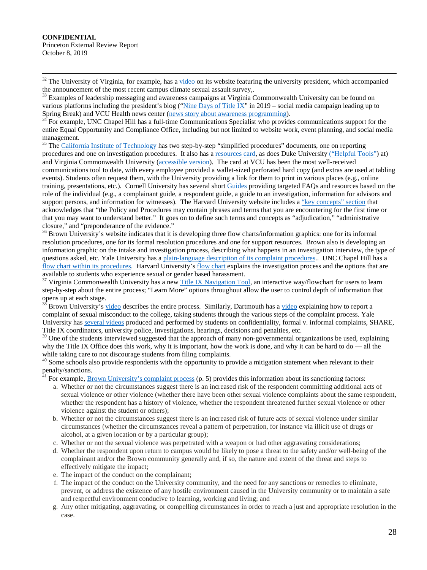$32$  The University of Virginia, for example, has a [video](https://www.youtube.com/watch?v=C2ZKNVHffC4&feature=youtu.be) on its website featuring the university president, which accompanied the announcement of the most recent campus climate sexual assault survey,.

 $33$  Examples of leadership messaging and awareness campaigns at Virginia Commonwealth University can be found on various platforms including the president's blog (["Nine Days of Title IX"](https://blog.president.vcu.edu/2019/02/18/title-ix-and-our-core-values/) in 2019 – social media campaign leading up to Spring Break) and VCU Health news center (news story about awareness programming).

For example, UNC Chapel Hill has a full-time Communications Specialist who provides communications support for the entire Equal Opportunity and Compliance Office, including but not limited to website work, event planning, and social media management.<br><sup>35</sup> Th[e California Institute](http://titleix.caltech.edu/PolProc) of Technology has two step-by-step "simplified procedures" documents, one on reporting

procedures and one on investigation procedures. It also has a [resources card,](http://titleix.caltech.edu/documents/17-2017-caltech-titleixcard-view_10-17.pdf) as does Duke University [\("Helpful Tools"\)](https://oie.duke.edu/we-can-help/complaints-and-concerns) at) and Virginia Commonwealth University [\(accessible version\)](https://equity.vcu.edu/media/equity-and-access-services/docs/TitleIXSupportandReportResourcesCardupdatedaugust2019.pdf). The card at VCU has been the most well-received communications tool to date, with every employee provided a wallet-sized perforated hard copy (and extras are used at tabling events). Students often request them, with the University providing a link for them to print in various places (e.g., online training, presentations, etc.). Cornell University has several short [Guides](http://titleix.cornell.edu/guides_forms/) providing targeted FAQs and resources based on the role of the individual (e.g., a complainant guide, a respondent guide, a guide to an investigation, information for advisors and support persons, and information for witnesses). The Harvard University website includes a ["key concepts" section](https://titleix.harvard.edu/files/titleix/files/key_concepts.pdf) that acknowledges that "the Policy and Procedures may contain phrases and terms that you are encountering for the first time or that you may want to understand better." It goes on to define such terms and concepts as "adjudication," "administrative closure," and "preponderance of the evidence."

 $36$  Brown University's website indicates that it is developing three flow charts/information graphics: one for its informal resolution procedures, one for its formal resolution procedures and one for support resources. Brown also is developing an information graphic on the intake and investigation process, describing what happens in an investigation interview, the type of questions asked, etc. Yale University has a [plain-language description of its complaint procedures.](https://uwc.yale.edu/process). UNC Chapel Hill has a [flow chart within its procedures.](https://eoc.unc.edu/files/2015/05/Procedures_Complaints_Against_Students-1.pdf) Harvard University's [flow chart](https://flowchart.odr.harvard.edu/files/odrip/files/harvard-odr-investigation-process-flowchart.pdf) explains the investigation process and the options that are available to students who experience sexual or gender based harassment.

<sup>37</sup> Virginia Commonwealth University has a new [Title IX Navigation Tool,](https://equity.vcu.edu/titleix/navigation-tool/) an interactive way/flowchart for users to learn step-by-step about the entire process; "Learn More" options throughout allow the user to control depth of information that opens up at each stage.

Brown University's [video](https://sexual-respect.dartmouth.edu/reporting-support/report-incident) describes the entire process. Similarly, Dartmouth has a video explaining how to report a complaint of sexual misconduct to the college, taking students through the various steps of the complaint process. Yale University has [several videos](https://cce.yalecollege.yale.edu/how-help/supporting-a-friend) produced and performed by students on confidentiality, formal v. informal complaints, SHARE, Title IX coordinators, university police, investigations, hearings, decisions and penalties, etc.

<sup>39</sup> One of the students interviewed suggested that the approach of many non-governmental organizations be used, explaining why the Title IX Office does this work, why it is important, how the work is done, and why it can be hard to do — all the

while taking care to not discourage students from filing complaints.<br><sup>40</sup> Some schools also provide respondents with the opportunity to provide a mitigation statement when relevant to their  $\frac{1}{41}$  penalty/sanctions.

<span id="page-27-2"></span><span id="page-27-1"></span><span id="page-27-0"></span>For example, [Brown University's complaint process](https://www.brown.edu/about/administration/title-ix/sites/brown.edu.about.administration.title-ix/files/uploads/complaint-process-final-sept-16.pdf) (p. 5) provides this information about its sanctioning factors:

- a. Whether or not the circumstances suggest there is an increased risk of the respondent committing additional acts of sexual violence or other violence (whether there have been other sexual violence complaints about the same respondent, whether the respondent has a history of violence, whether the respondent threatened further sexual violence or other violence against the student or others);
- b. Whether or not the circumstances suggest there is an increased risk of future acts of sexual violence under similar circumstances (whether the circumstances reveal a pattern of perpetration, for instance via illicit use of drugs or alcohol, at a given location or by a particular group);
- c. Whether or not the sexual violence was perpetrated with a weapon or had other aggravating considerations;
- d. Whether the respondent upon return to campus would be likely to pose a threat to the safety and/or well-being of the complainant and/or the Brown community generally and, if so, the nature and extent of the threat and steps to effectively mitigate the impact;
- e. The impact of the conduct on the complainant;
- f. The impact of the conduct on the University community, and the need for any sanctions or remedies to eliminate, prevent, or address the existence of any hostile environment caused in the University community or to maintain a safe and respectful environment conducive to learning, working and living; and
- g. Any other mitigating, aggravating, or compelling circumstances in order to reach a just and appropriate resolution in the case.